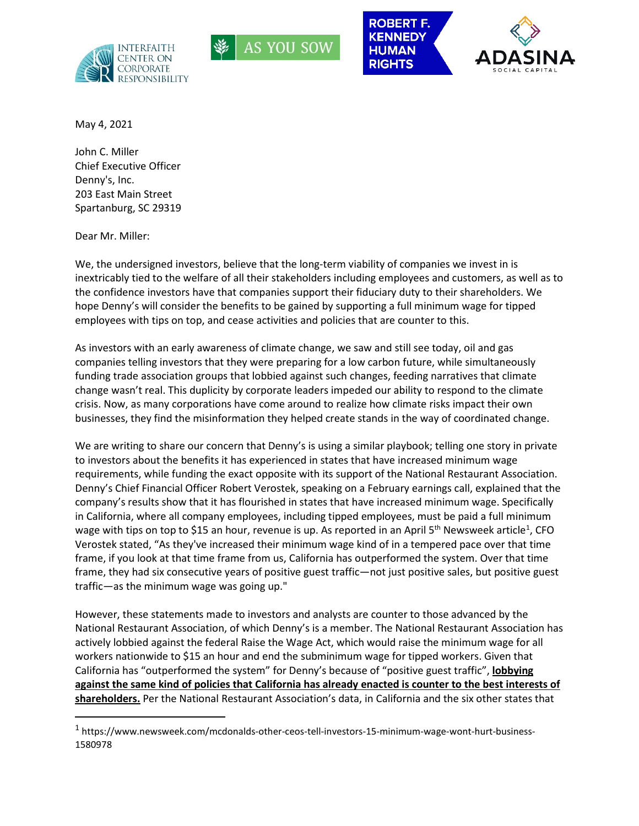







May 4, 2021

John C. Miller Chief Executive Officer Denny's, Inc. 203 East Main Street Spartanburg, SC 29319

Dear Mr. Miller:

We, the undersigned investors, believe that the long-term viability of companies we invest in is inextricably tied to the welfare of all their stakeholders including employees and customers, as well as to the confidence investors have that companies support their fiduciary duty to their shareholders. We hope Denny's will consider the benefits to be gained by supporting a full minimum wage for tipped employees with tips on top, and cease activities and policies that are counter to this.

As investors with an early awareness of climate change, we saw and still see today, oil and gas companies telling investors that they were preparing for a low carbon future, while simultaneously funding trade association groups that lobbied against such changes, feeding narratives that climate change wasn't real. This duplicity by corporate leaders impeded our ability to respond to the climate crisis. Now, as many corporations have come around to realize how climate risks impact their own businesses, they find the misinformation they helped create stands in the way of coordinated change.

We are writing to share our concern that Denny's is using a similar playbook; telling one story in private to investors about the benefits it has experienced in states that have increased minimum wage requirements, while funding the exact opposite with its support of the National Restaurant Association. Denny's Chief Financial Officer Robert Verostek, speaking on a February earnings call, explained that the company's results show that it has flourished in states that have increased minimum wage. Specifically in California, where all company employees, including tipped employees, must be paid a full minimum wage with tips on top to \$[1](#page-0-0)5 an hour, revenue is up. As reported in an April 5<sup>th</sup> Newsweek article<sup>1</sup>, CFO Verostek stated, "As they've increased their minimum wage kind of in a tempered pace over that time frame, if you look at that time frame from us, California has outperformed the system. Over that time frame, they had six consecutive years of positive guest traffic—not just positive sales, but positive guest traffic—as the minimum wage was going up."

However, these statements made to investors and analysts are counter to those advanced by the National Restaurant Association, of which Denny's is a member. The National Restaurant Association has actively lobbied against the federal Raise the Wage Act, which would raise the minimum wage for all workers nationwide to \$15 an hour and end the subminimum wage for tipped workers. Given that California has "outperformed the system" for Denny's because of "positive guest traffic", **lobbying against the same kind of policies that California has already enacted is counter to the best interests of shareholders.** Per the National Restaurant Association's data, in California and the six other states that

<span id="page-0-0"></span> <sup>1</sup> https://www.newsweek.com/mcdonalds-other-ceos-tell-investors-15-minimum-wage-wont-hurt-business-1580978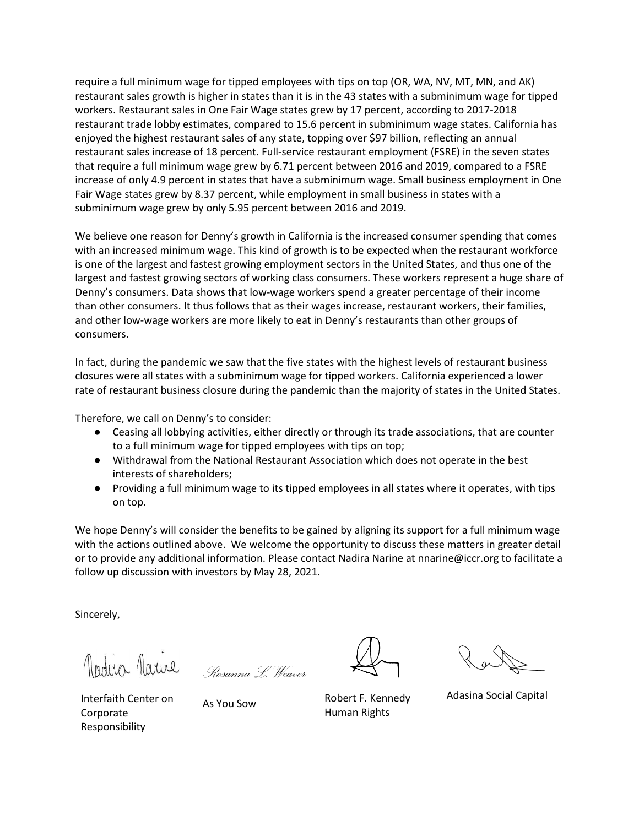require a full minimum wage for tipped employees with tips on top (OR, WA, NV, MT, MN, and AK) restaurant sales growth is higher in states than it is in the 43 states with a subminimum wage for tipped workers. Restaurant sales in One Fair Wage states grew by 17 percent, according to 2017-2018 restaurant trade lobby estimates, compared to 15.6 percent in subminimum wage states. California has enjoyed the highest restaurant sales of any state, topping over \$97 billion, reflecting an annual restaurant sales increase of 18 percent. Full-service restaurant employment (FSRE) in the seven states that require a full minimum wage grew by 6.71 percent between 2016 and 2019, compared to a FSRE increase of only 4.9 percent in states that have a subminimum wage. Small business employment in One Fair Wage states grew by 8.37 percent, while employment in small business in states with a subminimum wage grew by only 5.95 percent between 2016 and 2019.

We believe one reason for Denny's growth in California is the increased consumer spending that comes with an increased minimum wage. This kind of growth is to be expected when the restaurant workforce is one of the largest and fastest growing employment sectors in the United States, and thus one of the largest and fastest growing sectors of working class consumers. These workers represent a huge share of Denny's consumers. Data shows that low-wage workers spend a greater percentage of their income than other consumers. It thus follows that as their wages increase, restaurant workers, their families, and other low-wage workers are more likely to eat in Denny's restaurants than other groups of consumers.

In fact, during the pandemic we saw that the five states with the highest levels of restaurant business closures were all states with a subminimum wage for tipped workers. California experienced a lower rate of restaurant business closure during the pandemic than the majority of states in the United States.

Therefore, we call on Denny's to consider:

- Ceasing all lobbying activities, either directly or through its trade associations, that are counter to a full minimum wage for tipped employees with tips on top;
- Withdrawal from the National Restaurant Association which does not operate in the best interests of shareholders;
- Providing a full minimum wage to its tipped employees in all states where it operates, with tips on top.

We hope Denny's will consider the benefits to be gained by aligning its support for a full minimum wage with the actions outlined above. We welcome the opportunity to discuss these matters in greater detail or to provide any additional information. Please contact Nadira Narine at nnarine@iccr.org to facilitate a follow up discussion with investors by May 28, 2021.

Sincerely,

*Rosanna L. Weaver*

As You Sow Robert F. Kennedy Human Rights

Adasina Social Capital

Interfaith Center on **Corporate** Responsibility